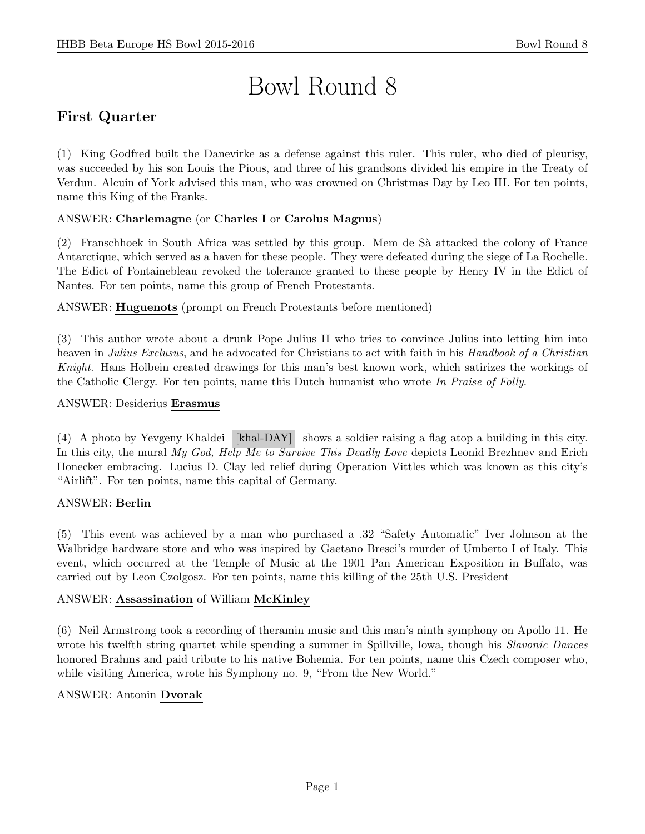# Bowl Round 8

# First Quarter

(1) King Godfred built the Danevirke as a defense against this ruler. This ruler, who died of pleurisy, was succeeded by his son Louis the Pious, and three of his grandsons divided his empire in the Treaty of Verdun. Alcuin of York advised this man, who was crowned on Christmas Day by Leo III. For ten points, name this King of the Franks.

## ANSWER: Charlemagne (or Charles I or Carolus Magnus)

(2) Franschhoek in South Africa was settled by this group. Mem de Sà attacked the colony of France Antarctique, which served as a haven for these people. They were defeated during the siege of La Rochelle. The Edict of Fontainebleau revoked the tolerance granted to these people by Henry IV in the Edict of Nantes. For ten points, name this group of French Protestants.

ANSWER: Huguenots (prompt on French Protestants before mentioned)

(3) This author wrote about a drunk Pope Julius II who tries to convince Julius into letting him into heaven in Julius Exclusus, and he advocated for Christians to act with faith in his Handbook of a Christian Knight. Hans Holbein created drawings for this man's best known work, which satirizes the workings of the Catholic Clergy. For ten points, name this Dutch humanist who wrote In Praise of Folly.

#### ANSWER: Desiderius Erasmus

(4) A photo by Yevgeny Khaldei [khal-DAY] shows a soldier raising a flag atop a building in this city. In this city, the mural My God, Help Me to Survive This Deadly Love depicts Leonid Brezhnev and Erich Honecker embracing. Lucius D. Clay led relief during Operation Vittles which was known as this city's "Airlift". For ten points, name this capital of Germany.

## ANSWER: Berlin

(5) This event was achieved by a man who purchased a .32 "Safety Automatic" Iver Johnson at the Walbridge hardware store and who was inspired by Gaetano Bresci's murder of Umberto I of Italy. This event, which occurred at the Temple of Music at the 1901 Pan American Exposition in Buffalo, was carried out by Leon Czolgosz. For ten points, name this killing of the 25th U.S. President

## ANSWER: Assassination of William McKinley

(6) Neil Armstrong took a recording of theramin music and this man's ninth symphony on Apollo 11. He wrote his twelfth string quartet while spending a summer in Spillville, Iowa, though his *Slavonic Dances* honored Brahms and paid tribute to his native Bohemia. For ten points, name this Czech composer who, while visiting America, wrote his Symphony no. 9, "From the New World."

#### ANSWER: Antonin Dvorak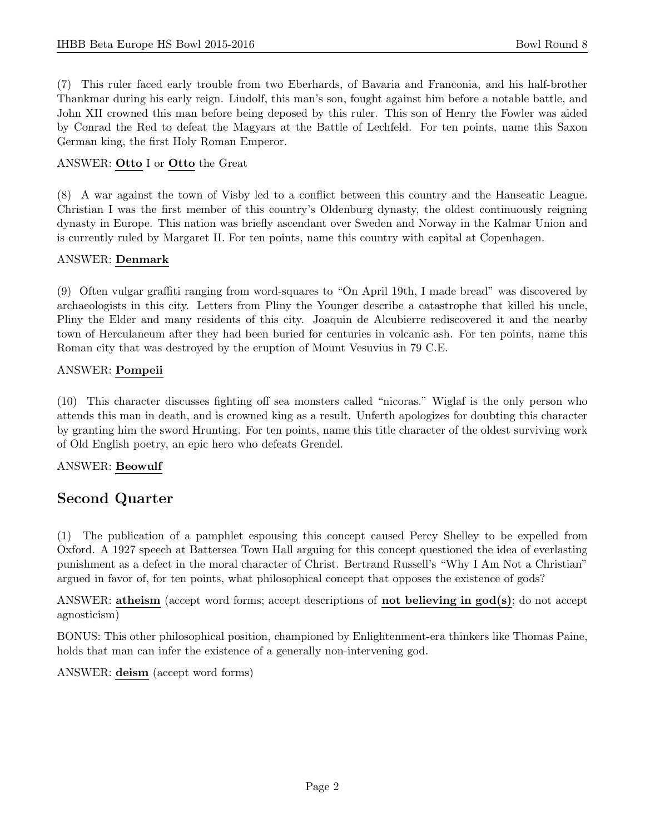(7) This ruler faced early trouble from two Eberhards, of Bavaria and Franconia, and his half-brother Thankmar during his early reign. Liudolf, this man's son, fought against him before a notable battle, and John XII crowned this man before being deposed by this ruler. This son of Henry the Fowler was aided by Conrad the Red to defeat the Magyars at the Battle of Lechfeld. For ten points, name this Saxon German king, the first Holy Roman Emperor.

#### ANSWER: Otto I or Otto the Great

(8) A war against the town of Visby led to a conflict between this country and the Hanseatic League. Christian I was the first member of this country's Oldenburg dynasty, the oldest continuously reigning dynasty in Europe. This nation was briefly ascendant over Sweden and Norway in the Kalmar Union and is currently ruled by Margaret II. For ten points, name this country with capital at Copenhagen.

#### ANSWER: Denmark

(9) Often vulgar graffiti ranging from word-squares to "On April 19th, I made bread" was discovered by archaeologists in this city. Letters from Pliny the Younger describe a catastrophe that killed his uncle, Pliny the Elder and many residents of this city. Joaquin de Alcubierre rediscovered it and the nearby town of Herculaneum after they had been buried for centuries in volcanic ash. For ten points, name this Roman city that was destroyed by the eruption of Mount Vesuvius in 79 C.E.

#### ANSWER: Pompeii

(10) This character discusses fighting off sea monsters called "nicoras." Wiglaf is the only person who attends this man in death, and is crowned king as a result. Unferth apologizes for doubting this character by granting him the sword Hrunting. For ten points, name this title character of the oldest surviving work of Old English poetry, an epic hero who defeats Grendel.

## ANSWER: Beowulf

## Second Quarter

(1) The publication of a pamphlet espousing this concept caused Percy Shelley to be expelled from Oxford. A 1927 speech at Battersea Town Hall arguing for this concept questioned the idea of everlasting punishment as a defect in the moral character of Christ. Bertrand Russell's "Why I Am Not a Christian" argued in favor of, for ten points, what philosophical concept that opposes the existence of gods?

ANSWER: atheism (accept word forms; accept descriptions of not believing in god(s); do not accept agnosticism)

BONUS: This other philosophical position, championed by Enlightenment-era thinkers like Thomas Paine, holds that man can infer the existence of a generally non-intervening god.

ANSWER: deism (accept word forms)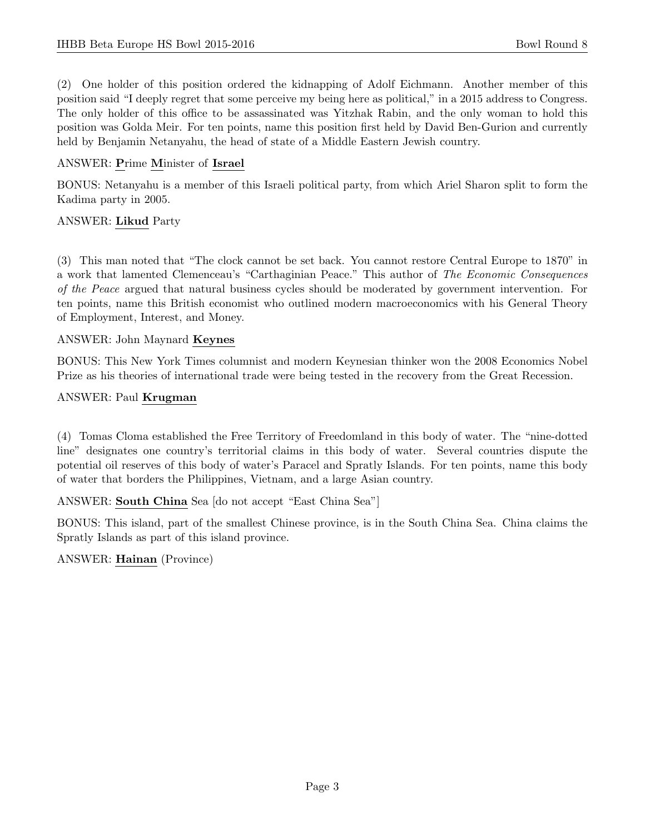(2) One holder of this position ordered the kidnapping of Adolf Eichmann. Another member of this position said "I deeply regret that some perceive my being here as political," in a 2015 address to Congress. The only holder of this office to be assassinated was Yitzhak Rabin, and the only woman to hold this position was Golda Meir. For ten points, name this position first held by David Ben-Gurion and currently held by Benjamin Netanyahu, the head of state of a Middle Eastern Jewish country.

## ANSWER: Prime Minister of Israel

BONUS: Netanyahu is a member of this Israeli political party, from which Ariel Sharon split to form the Kadima party in 2005.

## ANSWER: Likud Party

(3) This man noted that "The clock cannot be set back. You cannot restore Central Europe to 1870" in a work that lamented Clemenceau's "Carthaginian Peace." This author of The Economic Consequences of the Peace argued that natural business cycles should be moderated by government intervention. For ten points, name this British economist who outlined modern macroeconomics with his General Theory of Employment, Interest, and Money.

## ANSWER: John Maynard Keynes

BONUS: This New York Times columnist and modern Keynesian thinker won the 2008 Economics Nobel Prize as his theories of international trade were being tested in the recovery from the Great Recession.

## ANSWER: Paul Krugman

(4) Tomas Cloma established the Free Territory of Freedomland in this body of water. The "nine-dotted line" designates one country's territorial claims in this body of water. Several countries dispute the potential oil reserves of this body of water's Paracel and Spratly Islands. For ten points, name this body of water that borders the Philippines, Vietnam, and a large Asian country.

ANSWER: South China Sea [do not accept "East China Sea"]

BONUS: This island, part of the smallest Chinese province, is in the South China Sea. China claims the Spratly Islands as part of this island province.

ANSWER: Hainan (Province)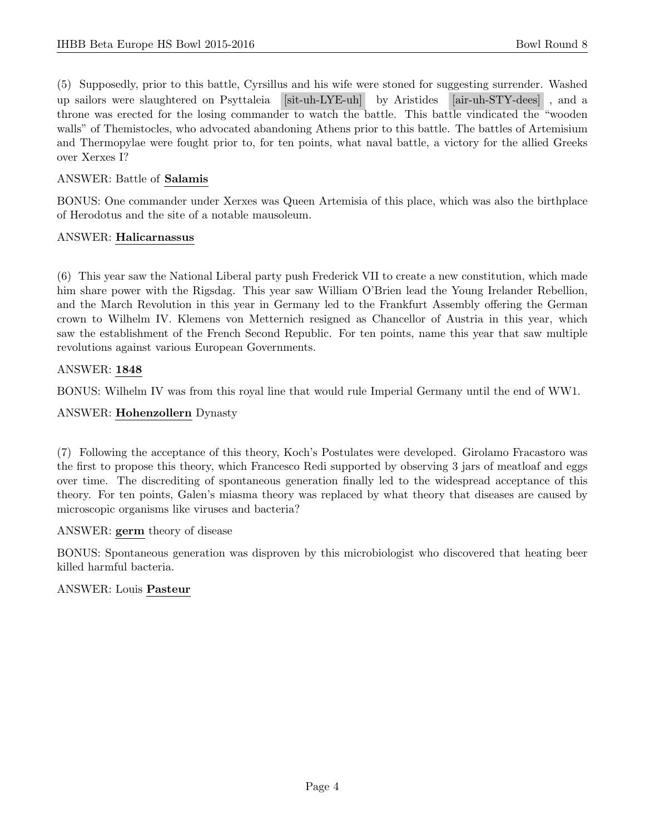(5) Supposedly, prior to this battle, Cyrsillus and his wife were stoned for suggesting surrender. Washed up sailors were slaughtered on Psyttaleia [sit-uh-LYE-uh] by Aristides [air-uh-STY-dees] , and a throne was erected for the losing commander to watch the battle. This battle vindicated the "wooden walls" of Themistocles, who advocated abandoning Athens prior to this battle. The battles of Artemisium and Thermopylae were fought prior to, for ten points, what naval battle, a victory for the allied Greeks over Xerxes I?

## ANSWER: Battle of Salamis

BONUS: One commander under Xerxes was Queen Artemisia of this place, which was also the birthplace of Herodotus and the site of a notable mausoleum.

## ANSWER: Halicarnassus

(6) This year saw the National Liberal party push Frederick VII to create a new constitution, which made him share power with the Rigsdag. This year saw William O'Brien lead the Young Irelander Rebellion, and the March Revolution in this year in Germany led to the Frankfurt Assembly offering the German crown to Wilhelm IV. Klemens von Metternich resigned as Chancellor of Austria in this year, which saw the establishment of the French Second Republic. For ten points, name this year that saw multiple revolutions against various European Governments.

## ANSWER: 1848

BONUS: Wilhelm IV was from this royal line that would rule Imperial Germany until the end of WW1.

## ANSWER: Hohenzollern Dynasty

(7) Following the acceptance of this theory, Koch's Postulates were developed. Girolamo Fracastoro was the first to propose this theory, which Francesco Redi supported by observing 3 jars of meatloaf and eggs over time. The discrediting of spontaneous generation finally led to the widespread acceptance of this theory. For ten points, Galen's miasma theory was replaced by what theory that diseases are caused by microscopic organisms like viruses and bacteria?

## ANSWER: germ theory of disease

BONUS: Spontaneous generation was disproven by this microbiologist who discovered that heating beer killed harmful bacteria.

## ANSWER: Louis Pasteur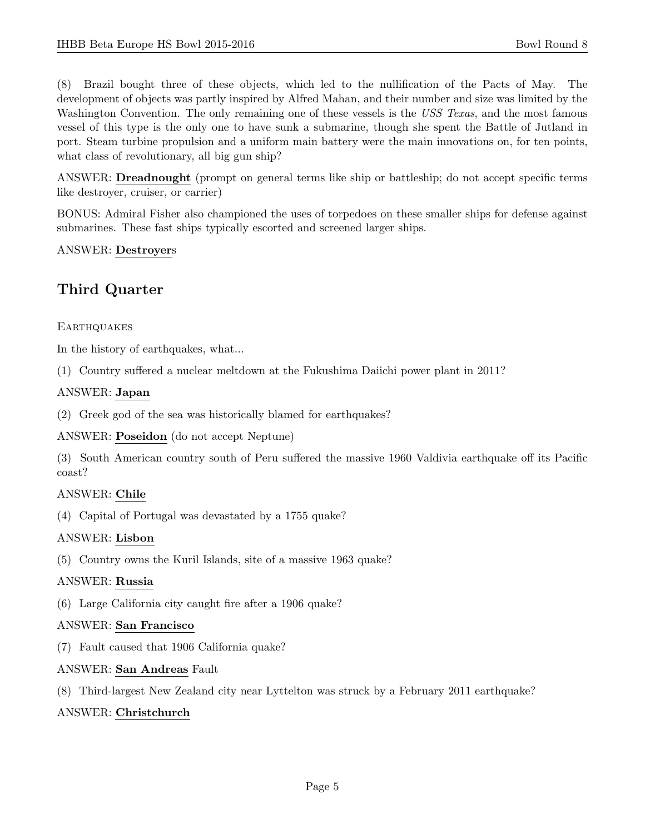(8) Brazil bought three of these objects, which led to the nullification of the Pacts of May. The development of objects was partly inspired by Alfred Mahan, and their number and size was limited by the Washington Convention. The only remaining one of these vessels is the USS Texas, and the most famous vessel of this type is the only one to have sunk a submarine, though she spent the Battle of Jutland in port. Steam turbine propulsion and a uniform main battery were the main innovations on, for ten points, what class of revolutionary, all big gun ship?

ANSWER: Dreadnought (prompt on general terms like ship or battleship; do not accept specific terms like destroyer, cruiser, or carrier)

BONUS: Admiral Fisher also championed the uses of torpedoes on these smaller ships for defense against submarines. These fast ships typically escorted and screened larger ships.

#### ANSWER: Destroyers

## Third Quarter

#### **EARTHQUAKES**

In the history of earthquakes, what...

(1) Country suffered a nuclear meltdown at the Fukushima Daiichi power plant in 2011?

#### ANSWER: Japan

(2) Greek god of the sea was historically blamed for earthquakes?

ANSWER: Poseidon (do not accept Neptune)

(3) South American country south of Peru suffered the massive 1960 Valdivia earthquake off its Pacific coast?

## ANSWER: Chile

(4) Capital of Portugal was devastated by a 1755 quake?

## ANSWER: Lisbon

(5) Country owns the Kuril Islands, site of a massive 1963 quake?

## ANSWER: Russia

(6) Large California city caught fire after a 1906 quake?

#### ANSWER: San Francisco

(7) Fault caused that 1906 California quake?

#### ANSWER: San Andreas Fault

(8) Third-largest New Zealand city near Lyttelton was struck by a February 2011 earthquake?

#### ANSWER: Christchurch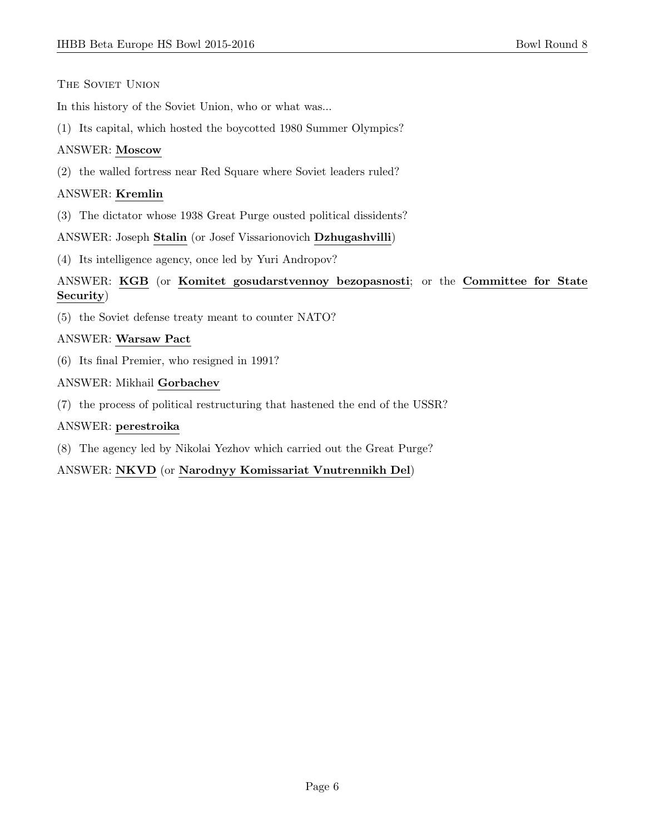#### THE SOVIET UNION

In this history of the Soviet Union, who or what was...

(1) Its capital, which hosted the boycotted 1980 Summer Olympics?

## ANSWER: Moscow

(2) the walled fortress near Red Square where Soviet leaders ruled?

## ANSWER: Kremlin

(3) The dictator whose 1938 Great Purge ousted political dissidents?

## ANSWER: Joseph Stalin (or Josef Vissarionovich Dzhugashvilli)

(4) Its intelligence agency, once led by Yuri Andropov?

## ANSWER: KGB (or Komitet gosudarstvennoy bezopasnosti; or the Committee for State Security)

(5) the Soviet defense treaty meant to counter NATO?

## ANSWER: Warsaw Pact

(6) Its final Premier, who resigned in 1991?

#### ANSWER: Mikhail Gorbachev

(7) the process of political restructuring that hastened the end of the USSR?

## ANSWER: perestroika

(8) The agency led by Nikolai Yezhov which carried out the Great Purge?

## ANSWER: NKVD (or Narodnyy Komissariat Vnutrennikh Del)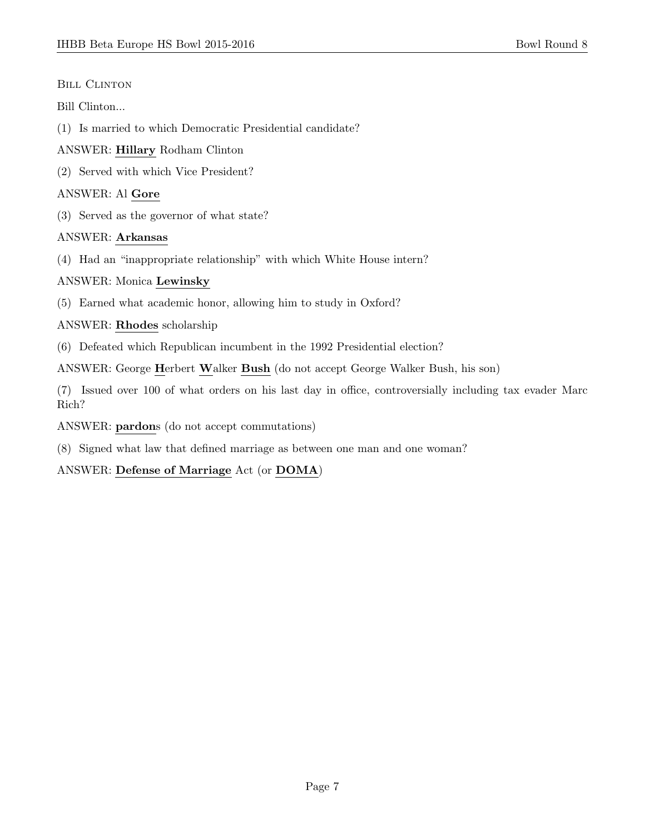#### **BILL CLINTON**

#### Bill Clinton...

- (1) Is married to which Democratic Presidential candidate?
- ANSWER: Hillary Rodham Clinton
- (2) Served with which Vice President?

## ANSWER: Al Gore

(3) Served as the governor of what state?

## ANSWER: Arkansas

(4) Had an "inappropriate relationship" with which White House intern?

## ANSWER: Monica Lewinsky

(5) Earned what academic honor, allowing him to study in Oxford?

## ANSWER: Rhodes scholarship

(6) Defeated which Republican incumbent in the 1992 Presidential election?

ANSWER: George Herbert Walker Bush (do not accept George Walker Bush, his son)

(7) Issued over 100 of what orders on his last day in office, controversially including tax evader Marc Rich?

ANSWER: pardons (do not accept commutations)

(8) Signed what law that defined marriage as between one man and one woman?

## ANSWER: Defense of Marriage Act (or DOMA)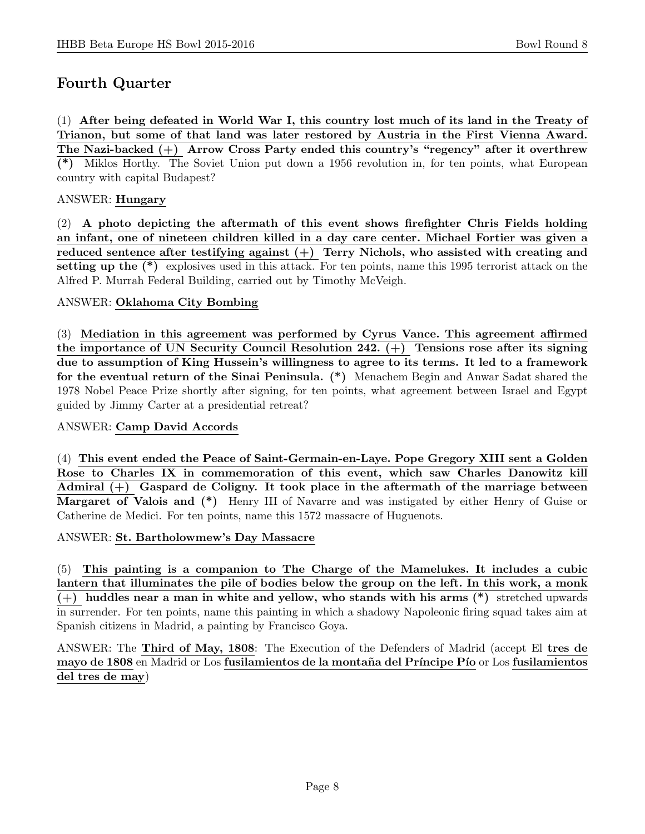# Fourth Quarter

(1) After being defeated in World War I, this country lost much of its land in the Treaty of Trianon, but some of that land was later restored by Austria in the First Vienna Award. The Nazi-backed (+) Arrow Cross Party ended this country's "regency" after it overthrew (\*) Miklos Horthy. The Soviet Union put down a 1956 revolution in, for ten points, what European country with capital Budapest?

## ANSWER: Hungary

(2) A photo depicting the aftermath of this event shows firefighter Chris Fields holding an infant, one of nineteen children killed in a day care center. Michael Fortier was given a reduced sentence after testifying against  $(+)$  Terry Nichols, who assisted with creating and setting up the (\*) explosives used in this attack. For ten points, name this 1995 terrorist attack on the Alfred P. Murrah Federal Building, carried out by Timothy McVeigh.

## ANSWER: Oklahoma City Bombing

(3) Mediation in this agreement was performed by Cyrus Vance. This agreement affirmed the importance of UN Security Council Resolution 242.  $(+)$  Tensions rose after its signing due to assumption of King Hussein's willingness to agree to its terms. It led to a framework for the eventual return of the Sinai Peninsula. (\*) Menachem Begin and Anwar Sadat shared the 1978 Nobel Peace Prize shortly after signing, for ten points, what agreement between Israel and Egypt guided by Jimmy Carter at a presidential retreat?

## ANSWER: Camp David Accords

(4) This event ended the Peace of Saint-Germain-en-Laye. Pope Gregory XIII sent a Golden Rose to Charles IX in commemoration of this event, which saw Charles Danowitz kill Admiral  $(+)$  Gaspard de Coligny. It took place in the aftermath of the marriage between Margaret of Valois and (\*) Henry III of Navarre and was instigated by either Henry of Guise or Catherine de Medici. For ten points, name this 1572 massacre of Huguenots.

ANSWER: St. Bartholowmew's Day Massacre

(5) This painting is a companion to The Charge of the Mamelukes. It includes a cubic lantern that illuminates the pile of bodies below the group on the left. In this work, a monk  $(+)$  huddles near a man in white and yellow, who stands with his arms  $(*)$  stretched upwards in surrender. For ten points, name this painting in which a shadowy Napoleonic firing squad takes aim at Spanish citizens in Madrid, a painting by Francisco Goya.

ANSWER: The Third of May, 1808: The Execution of the Defenders of Madrid (accept El tres de mayo de 1808 en Madrid or Los fusilamientos de la montaña del Príncipe Pío or Los fusilamientos del tres de may)